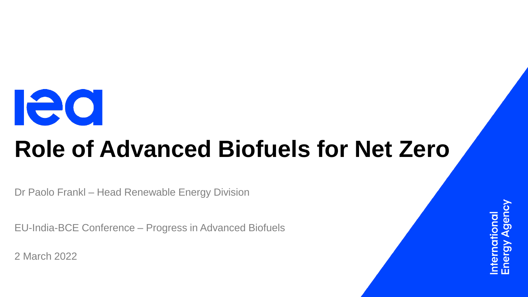

# **Role of Advanced Biofuels for Net Zero**

Dr Paolo Frankl – Head Renewable Energy Division

EU-India-BCE Conference – Progress in Advanced Biofuels

2 March 2022

ational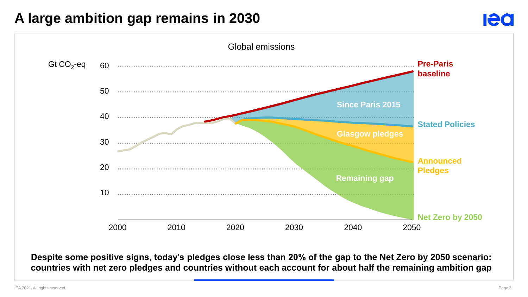### **A large ambition gap remains in 2030**



**Despite some positive signs, today's pledges close less than 20% of the gap to the Net Zero by 2050 scenario: countries with net zero pledges and countries without each account for about half the remaining ambition gap**

**Ieo**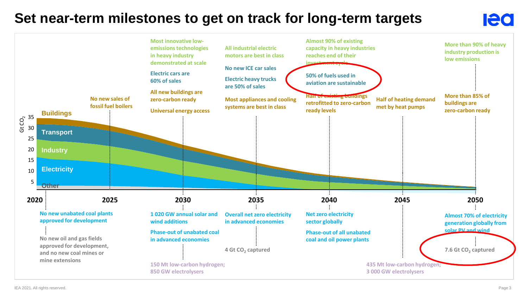### **Set near-term milestones to get on track for long-term targets**



**Ieo**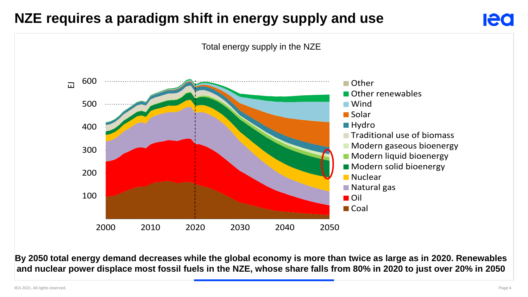# **NZE requires a paradigm shift in energy supply and use**



#### Total energy supply in the NZE 100 200 300 400 500 600 2000 2010 2020 2030 2040 2050  $\Box$ Other **Other renewables** Wind **■Solar ■ Hydro Traditional use of biomass Modern gaseous bioenergy Modern liquid bioenergy** ■ Modern solid bioenergy **Nuclear** ■ Natural gas **■** Oil **■** Coal

**By 2050 total energy demand decreases while the global economy is more than twice as large as in 2020. Renewables and nuclear power displace most fossil fuels in the NZE, whose share falls from 80% in 2020 to just over 20% in 2050**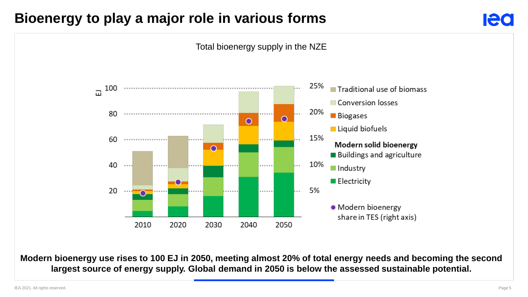### **Bioenergy to play a major role in various forms**





**Modern bioenergy use rises to 100 EJ in 2050, meeting almost 20% of total energy needs and becoming the second largest source of energy supply. Global demand in 2050 is below the assessed sustainable potential.**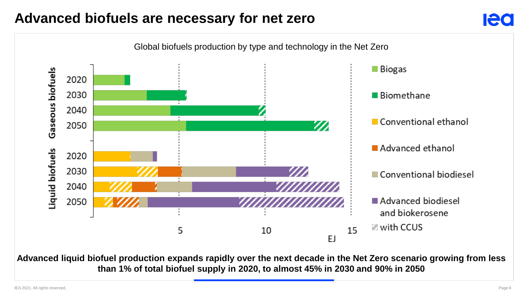## **Advanced biofuels are necessary for net zero**



**Advanced liquid biofuel production expands rapidly over the next decade in the Net Zero scenario growing from less than 1% of total biofuel supply in 2020, to almost 45% in 2030 and 90% in 2050**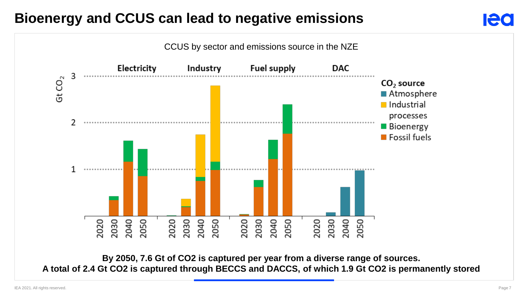# **Bioenergy and CCUS can lead to negative emissions**



**By 2050, 7.6 Gt of CO2 is captured per year from a diverse range of sources. A total of 2.4 Gt CO2 is captured through BECCS and DACCS, of which 1.9 Gt CO2 is permanently stored**